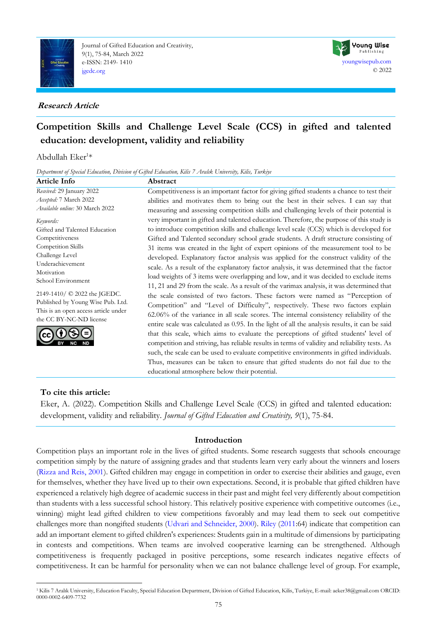

Journal of Gifted Education and Creativity, 9(1), 75-84, March 2022 e-ISSN: 2149- 1410 [jgedc.org](https://dergipark.org.tr/en/pub/jgedc)

# **Research Article**



# **Competition Skills and Challenge Level Scale (CCS) in gifted and talented education: development, validity and reliability**

# Abdullah Eker<sup>1\*</sup>

*Department of Special Education, Division of Gifted Education, Kilis 7 Aralık University, Kilis, Turkiye*

| Article Info                         | Abstract                                                                                      |
|--------------------------------------|-----------------------------------------------------------------------------------------------|
| Received: 29 January 2022            | Competitiveness is an important factor for giving gifted students a chance to test their      |
| Accepted: 7 March 2022               | abilities and motivates them to bring out the best in their selves. I can say that            |
| Available online: 30 March 2022      | measuring and assessing competition skills and challenging levels of their potential is       |
| Keywords:                            | very important in gifted and talented education. Therefore, the purpose of this study is      |
| Gifted and Talented Education        | to introduce competition skills and challenge level scale (CCS) which is developed for        |
| Competitiveness                      | Gifted and Talented secondary school grade students. A draft structure consisting of          |
| Competition Skills                   | 31 items was created in the light of expert opinions of the measurement tool to be            |
| Challenge Level                      | developed. Explanatory factor analysis was applied for the construct validity of the          |
| Underachievement                     | scale. As a result of the explanatory factor analysis, it was determined that the factor      |
| Motivation                           | load weights of 3 items were overlapping and low, and it was decided to exclude items         |
| School Environment                   | 11, 21 and 29 from the scale. As a result of the varimax analysis, it was determined that     |
| 2149-1410/ © 2022 the JGEDC.         | the scale consisted of two factors. These factors were named as "Perception of                |
| Published by Young Wise Pub. Ltd.    | Competition" and "Level of Difficulty", respectively. These two factors explain               |
| This is an open access article under | 62.06% of the variance in all scale scores. The internal consistency reliability of the       |
| the CC BY-NC-ND license              |                                                                                               |
|                                      | entire scale was calculated as 0.95. In the light of all the analysis results, it can be said |
|                                      | that this scale, which aims to evaluate the perceptions of gifted students' level of          |
|                                      | competition and striving, has reliable results in terms of validity and reliability tests. As |
|                                      | such, the scale can be used to evaluate competitive environments in gifted individuals.       |
|                                      | Thus, measures can be taken to ensure that gifted students do not fail due to the             |
|                                      | educational atmosphere below their potential.                                                 |

# **To cite this article:**

Eker, A. (2022). Competition Skills and Challenge Level Scale (CCS) in gifted and talented education: development, validity and reliability. *Journal of Gifted Education and Creativity, 9*(1), 75-84.

# **Introduction**

Competition plays an important role in the lives of gifted students. Some research suggests that schools encourage competition simply by the nature of assigning grades and that students learn very early about the winners and losers [\(Rizza and Reis, 2001\)](#page-8-0). Gifted children may engage in competition in order to exercise their abilities and gauge, even for themselves, whether they have lived up to their own expectations. Second, it is probable that gifted children have experienced a relatively high degree of academic success in their past and might feel very differently about competition than students with a less successful school history. This relatively positive experience with competitive outcomes (i.e., winning) might lead gifted children to view competitions favorably and may lead them to seek out competitive challenges more than nongifted students [\(Udvari and Schneider, 2000\)](#page-8-0). [Riley](#page-8-0) [\(2011:](#page-8-0)64) indicate that competition can add an important element to gifted children's experiences: Students gain in a multitude of dimensions by participating in contests and competitions. When teams are involved cooperative learning can be strengthened. Although competitiveness is frequently packaged in positive perceptions, some research indicates negative effects of competitiveness. It can be harmful for personality when we can not balance challenge level of group. For example,

<sup>1</sup> Kilis 7 Aralık University, Education Faculty, Special Education Department, Division of Gifted Education, Kilis, Turkiye, E-mail[: aeker38@gmail.com](mailto:aeker38@gmail.com) ORCID: 0000-0002-6409-7732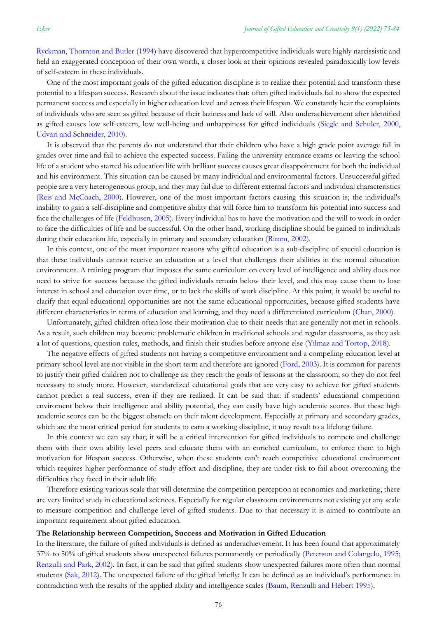[Ryckman, Thornton and Butler](#page-8-0) [\(1994\)](#page-8-0) have discovered that hypercompetitive individuals were highly narcissistic and held an exaggerated conception of their own worth, a closer look at their opinions revealed paradoxically low levels of self-esteem in these individuals.

One of the most important goals of the gifted education discipline is to realize their potential and transform these potential to a lifespan success. Research about the issue indicates that: often gifted individuals fail to show the expected permanent success and especially in higher education level and across their lifespan. We constantly hear the complaints of individuals who are seen as gifted because of their laziness and lack of will. Also underachievement after identified as gifted causes low self-esteem, low well-being and unhappiness for gifted individuals [\(Siegle and Schuler, 2000,](#page-8-0)  [Udvari and Schneider, 2010\)](#page-8-0).

It is observed that the parents do not understand that their children who have a high grade point average fall in grades over time and fail to achieve the expected success. Failing the university entrance exams or leaving the school life of a student who started his education life with brilliant success causes great disappointment for both the individual and his environment. This situation can be caused by many individual and environmental factors. Unsuccessful gifted people are a very heterogeneous group, and they may fail due to different external factors and individual characteristics [\(Reis and McCoach, 2000\)](#page-8-0). However, one of the most important factors causing this situation is; the individual's inability to gain a self-discipline and competitive ability that will force him to transform his potential into success and face the challenges of life [\(Feldhusen, 2005\)](#page-8-0). Every individual has to have the motivation and the will to work in order to face the difficulties of life and be successful. On the other hand, working discipline should be gained to individuals during their education life, especially in primary and secondary education [\(Rimm, 2002\)](#page-8-0).

In this context, one of the most important reasons why gifted education is a sub-discipline of special education is that these individuals cannot receive an education at a level that challenges their abilities in the normal education environment. A training program that imposes the same curriculum on every level of intelligence and ability does not need to strive for success because the gifted individuals remain below their level, and this may cause them to lose interest in school and education over time, or to lack the skills of work discipline. At this point, it would be useful to clarify that equal educational opportunities are not the same educational opportunities, because gifted students have different characteristics in terms of education and learning, and they need a differentiated curriculum [\(Chan, 2000\)](#page-8-0).

Unfortunately, gifted children often lose their motivation due to their needs that are generally not met in schools. As a result, such children may become problematic children in traditional schools and regular classrooms, as they ask a lot of questions, question rules, methods, and finish their studies before anyone else ([Yılmaz and Tortop, 2018](#page-8-0)).

The negative effects of gifted students not having a competitive environment and a compelling education level at primary school level are not visible in the short term and therefore are ignored [\(Ford, 2003\)](#page-8-0). It is common for parents to justify their gifted children not to challenge as: they reach the goals of lessons at the classroom; so they do not feel necessary to study more. However, standardized educational goals that are very easy to achieve for gifted students cannot predict a real success, even if they are realized. It can be said that: if students' educational competition enviroment below their intelligence and ability potential, they can easily have high academic scores. But these high academic scores can be the biggest obstacle on their talent development. Especially at primary and secondary grades, which are the most critical period for students to earn a working discipline, it may result to a lifelong failure.

In this context we can say that; it will be a critical intervention for gifted individuals to compete and challenge them with their own ability level peers and educate them with an enriched curriculum, to enforce them to high motivation for lifespan success. Otherwise, when these students can't reach competitive educational environment which requires higher performance of study effort and discipline, they are under risk to fail about overcoming the difficulties they faced in their adult life.

Therefore existing various scale that will determine the competition perception at economics and marketing, there are very limited study in educational sciences. Especially for regular classroom environments not existing yet any scale to measure competition and challenge level of gifted students. Due to that necessary it is aimed to contribute an important requirement about gifted education.

#### **The Relationship between Competition, Success and Motivation in Gifted Education**

In the literature, the failure of gifted individuals is defined as underachievement. It has been found that approximately 37% to 50% of gifted students show unexpected failures permanently or periodically [\(Peterson and Colangelo, 1995;](#page-8-0)  [Renzulli and Park, 2002\)](#page-8-0). In fact, it can be said that gifted students show unexpected failures more often than normal students (Sak, [2012\)](#page-8-0). The unexpected failure of the gifted briefly; It can be defined as an individual's performance in contradiction with the results of the applied ability and intelligence scales [\(Baum, Renzulli and Hébert 1995\)](#page-8-0).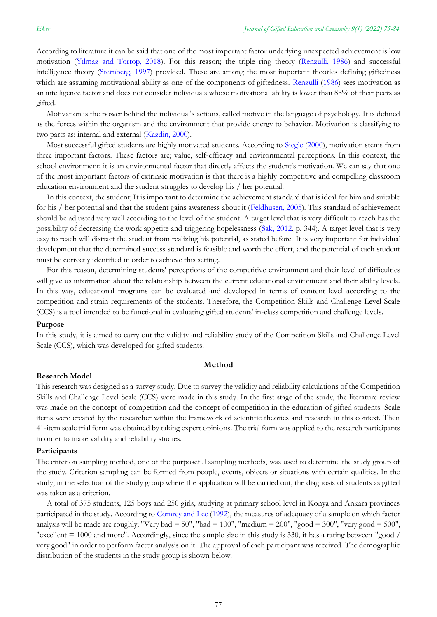According to literature it can be said that one of the most important factor underlying unexpected achievement is low motivation ([Yılmaz and Tortop, 2018](#page-8-0)). For this reason; the triple ring theory [\(Renzulli, 1986\)](#page-8-0) and successful intelligence theory [\(Sternberg, 1997\)](#page-8-0) provided. These are among the most important theories defining giftedness which are assuming motivational ability as one of the components of giftedness. [Renzulli](#page-8-0) [\(1986\)](#page-8-0) sees motivation as an intelligence factor and does not consider individuals whose motivational ability is lower than 85% of their peers as gifted.

Motivation is the power behind the individual's actions, called motive in the language of psychology. It is defined as the forces within the organism and the environment that provide energy to behavior. Motivation is classifying to two parts as: internal and external [\(Kazdin, 2000\)](#page-8-0).

Most successful gifted students are highly motivated students. According to [Siegle](#page-8-0) [\(2000\)](#page-8-0), motivation stems from three important factors. These factors are; value, self-efficacy and environmental perceptions. In this context, the school environment; it is an environmental factor that directly affects the student's motivation. We can say that one of the most important factors of extrinsic motivation is that there is a highly competitive and compelling classroom education environment and the student struggles to develop his / her potential.

In this context, the student; It is important to determine the achievement standard that is ideal for him and suitable for his / her potential and that the student gains awareness about it [\(Feldhusen, 2005\)](#page-8-0). This standard of achievement should be adjusted very well according to the level of the student. A target level that is very difficult to reach has the possibility of decreasing the work appetite and triggering hopelessness [\(Sak, 2012,](#page-8-0) p. 344). A target level that is very easy to reach will distract the student from realizing his potential, as stated before. It is very important for individual development that the determined success standard is feasible and worth the effort, and the potential of each student must be correctly identified in order to achieve this setting.

For this reason, determining students' perceptions of the competitive environment and their level of difficulties will give us information about the relationship between the current educational environment and their ability levels. In this way, educational programs can be evaluated and developed in terms of content level according to the competition and strain requirements of the students. Therefore, the Competition Skills and Challenge Level Scale (CCS) is a tool intended to be functional in evaluating gifted students' in-class competition and challenge levels.

#### **Purpose**

In this study, it is aimed to carry out the validity and reliability study of the Competition Skills and Challenge Level Scale (CCS), which was developed for gifted students.

#### **Method**

#### **Research Model**

This research was designed as a survey study. Due to survey the validity and reliability calculations of the Competition Skills and Challenge Level Scale (CCS) were made in this study. In the first stage of the study, the literature review was made on the concept of competition and the concept of competition in the education of gifted students. Scale items were created by the researcher within the framework of scientific theories and research in this context. Then 41-item scale trial form was obtained by taking expert opinions. The trial form was applied to the research participants in order to make validity and reliability studies.

#### **Participants**

The criterion sampling method, one of the purposeful sampling methods, was used to determine the study group of the study. Criterion sampling can be formed from people, events, objects or situations with certain qualities. In the study, in the selection of the study group where the application will be carried out, the diagnosis of students as gifted was taken as a criterion.

A total of 375 students, 125 boys and 250 girls, studying at primary school level in Konya and Ankara provinces participated in the study. According to [Comrey and Lee](#page-8-0) [\(1992\)](#page-8-0), the measures of adequacy of a sample on which factor analysis will be made are roughly; "Very bad =  $50$ ", "bad =  $100$ ", "medium =  $200$ ", "good =  $300$ ", "very good =  $500$ ", "excellent  $= 1000$  and more". Accordingly, since the sample size in this study is 330, it has a rating between "good / very good" in order to perform factor analysis on it. The approval of each participant was received. The demographic distribution of the students in the study group is shown below.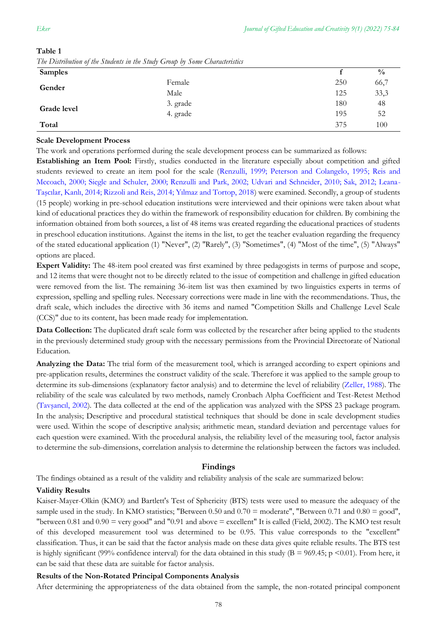| <b>Samples</b> |          |     | $\frac{0}{0}$ |
|----------------|----------|-----|---------------|
| Gender         | Female   | 250 | 66,7          |
|                | Male     | 125 | 33,3          |
| Grade level    | 3. grade | 180 | 48            |
|                | 4. grade | 195 | 52            |
| Total          |          | 375 | 100           |

# **Table 1** *The Distribution of the Students in the Study Group by Some Characteristics*

### **Scale Development Process**

The work and operations performed during the scale development process can be summarized as follows:

**Establishing an Item Pool:** Firstly, studies conducted in the literature especially about competition and gifted students reviewed to create an item pool for the scale [\(Renzulli, 1999; Peterson and Colangelo, 1995; Reis and](#page-8-0)  [Mccoach, 2000; Siegle and Schuler, 2000; Renzulli and Park, 2002; Udvari and Schneider, 2010; Sak, 2012; Leana-](#page-8-0)[Taşcılar, Kanlı, 2014; Rizzoli and Reis, 2014; Yılmaz and Tortop, 2018](#page-8-0)) were examined. Secondly, a group of students (15 people) working in pre-school education institutions were interviewed and their opinions were taken about what kind of educational practices they do within the framework of responsibility education for children. By combining the information obtained from both sources, a list of 48 items was created regarding the educational practices of students in preschool education institutions. Against the items in the list, to get the teacher evaluation regarding the frequency of the stated educational application (1) "Never", (2) "Rarely", (3) "Sometimes", (4) "Most of the time", (5) "Always" options are placed.

**Expert Validity:** The 48-item pool created was first examined by three pedagogists in terms of purpose and scope, and 12 items that were thought not to be directly related to the issue of competition and challenge in gifted education were removed from the list. The remaining 36-item list was then examined by two linguistics experts in terms of expression, spelling and spelling rules. Necessary corrections were made in line with the recommendations. Thus, the draft scale, which includes the directive with 36 items and named "Competition Skills and Challenge Level Scale (CCS)" due to its content, has been made ready for implementation.

**Data Collection:** The duplicated draft scale form was collected by the researcher after being applied to the students in the previously determined study group with the necessary permissions from the Provincial Directorate of National Education.

**Analyzing the Data:** The trial form of the measurement tool, which is arranged according to expert opinions and pre-application results, determines the construct validity of the scale. Therefore it was applied to the sample group to determine its sub-dimensions (explanatory factor analysis) and to determine the level of reliability [\(Zeller, 1988\)](#page-8-0). The reliability of the scale was calculated by two methods, namely Cronbach Alpha Coefficient and Test-Retest Method ([Tavşancıl, 2002](#page-8-0)). The data collected at the end of the application was analyzed with the SPSS 23 package program. In the analysis; Descriptive and procedural statistical techniques that should be done in scale development studies were used. Within the scope of descriptive analysis; arithmetic mean, standard deviation and percentage values for each question were examined. With the procedural analysis, the reliability level of the measuring tool, factor analysis to determine the sub-dimensions, correlation analysis to determine the relationship between the factors was included.

### **Findings**

The findings obtained as a result of the validity and reliability analysis of the scale are summarized below:

### **Validity Results**

Kaiser-Mayer-Olkin (KMO) and Bartlett's Test of Sphericity (BTS) tests were used to measure the adequacy of the sample used in the study. In KMO statistics; "Between 0.50 and  $0.70 = \text{moderate}$ ", "Between 0.71 and  $0.80 = \text{good}$ ", "between  $0.81$  and  $0.90$  = very good" and "0.91 and above = excellent" It is called (Field, 2002). The KMO test result of this developed measurement tool was determined to be 0.95. This value corresponds to the "excellent" classification. Thus, it can be said that the factor analysis made on these data gives quite reliable results. The BTS test is highly significant (99% confidence interval) for the data obtained in this study ( $B = 969.45$ ; p <0.01). From here, it can be said that these data are suitable for factor analysis.

### **Results of the Non-Rotated Principal Components Analysis**

After determining the appropriateness of the data obtained from the sample, the non-rotated principal component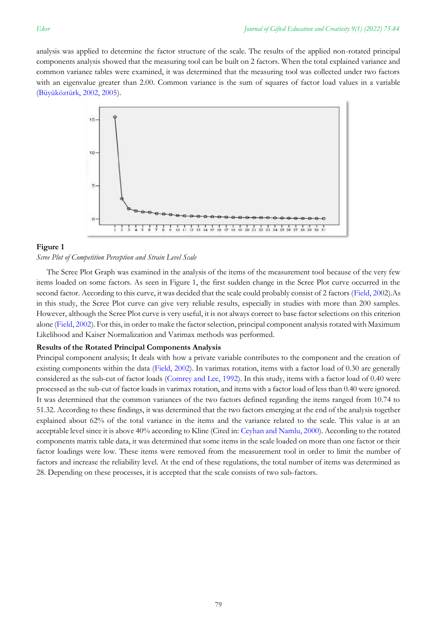analysis was applied to determine the factor structure of the scale. The results of the applied non-rotated principal components analysis showed that the measuring tool can be built on 2 factors. When the total explained variance and common variance tables were examined, it was determined that the measuring tool was collected under two factors with an eigenvalue greater than 2.00. Common variance is the sum of squares of factor load values in a variable [\(Büyüköztürk, 2002, 2005\)](#page-8-0).



### **Figure 1**

#### *Scree Plot of Competition Perception and Strain Level Scale*

The Scree Plot Graph was examined in the analysis of the items of the measurement tool because of the very few items loaded on some factors. As seen in Figure 1, the first sudden change in the Scree Plot curve occurred in the second factor. According to this curve, it was decided that the scale could probably consist of 2 factors [\(Field, 200](#page-8-0)2).As in this study, the Scree Plot curve can give very reliable results, especially in studies with more than 200 samples. However, although the Scree Plot curve is very useful, it is not always correct to base factor selections on this criterion alone [\(Field, 2002\)](#page-8-0). For this, in order to make the factor selection, principal component analysis rotated with Maximum Likelihood and Kaiser Normalization and Varimax methods was performed.

#### **Results of the Rotated Principal Components Analysis**

Principal component analysis; It deals with how a private variable contributes to the component and the creation of existing components within the data [\(Field, 2002\)](#page-8-0). In varimax rotation, items with a factor load of 0.30 are generally considered as the sub-cut of factor loads [\(Comrey and Lee, 1992\)](#page-8-0). In this study, items with a factor load of 0.40 were processed as the sub-cut of factor loads in varimax rotation, and items with a factor load of less than 0.40 were ignored. It was determined that the common variances of the two factors defined regarding the items ranged from 10.74 to 51.32. According to these findings, it was determined that the two factors emerging at the end of the analysis together explained about 62% of the total variance in the items and the variance related to the scale. This value is at an acceptable level since it is above 40% according to Kline (Cited in: [Ceyhan and Namlu, 2000\)](#page-8-0). According to the rotated components matrix table data, it was determined that some items in the scale loaded on more than one factor or their factor loadings were low. These items were removed from the measurement tool in order to limit the number of factors and increase the reliability level. At the end of these regulations, the total number of items was determined as 28. Depending on these processes, it is accepted that the scale consists of two sub-factors.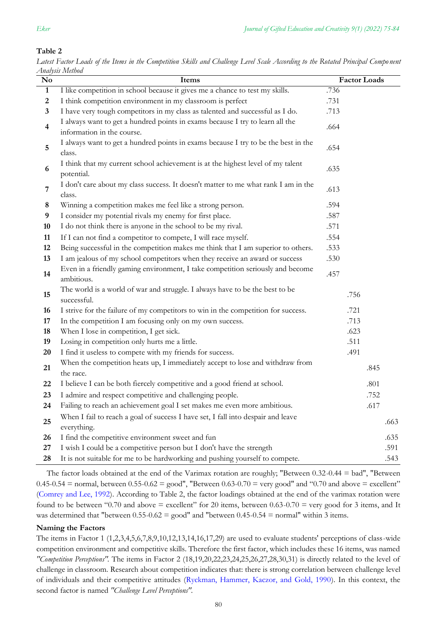# **Table 2**

| No                      | пнигрэгэ дүдсгээс<br>Items                                                                                  |      | <b>Factor Loads</b> |      |
|-------------------------|-------------------------------------------------------------------------------------------------------------|------|---------------------|------|
| $\mathbf{1}$            | I like competition in school because it gives me a chance to test my skills.                                | .736 |                     |      |
| $\overline{2}$          | I think competition environment in my classroom is perfect                                                  | .731 |                     |      |
| 3                       | I have very tough competitors in my class as talented and successful as I do.                               | .713 |                     |      |
| $\overline{\mathbf{4}}$ | I always want to get a hundred points in exams because I try to learn all the<br>information in the course. | .664 |                     |      |
| 5                       | I always want to get a hundred points in exams because I try to be the best in the<br>class.                | .654 |                     |      |
| 6                       | I think that my current school achievement is at the highest level of my talent<br>potential.               | .635 |                     |      |
| 7                       | I don't care about my class success. It doesn't matter to me what rank I am in the<br>class.                | .613 |                     |      |
| 8                       | Winning a competition makes me feel like a strong person.                                                   | .594 |                     |      |
| 9                       | I consider my potential rivals my enemy for first place.                                                    | .587 |                     |      |
| 10                      | I do not think there is anyone in the school to be my rival.                                                | .571 |                     |      |
| 11                      | If I can not find a competitor to compete, I will race myself.                                              | .554 |                     |      |
| 12                      | Being successful in the competition makes me think that I am superior to others.                            | .533 |                     |      |
| 13                      | I am jealous of my school competitors when they receive an award or success                                 | .530 |                     |      |
| 14                      | Even in a friendly gaming environment, I take competition seriously and become<br>ambitious.                | .457 |                     |      |
| 15                      | The world is a world of war and struggle. I always have to be the best to be<br>successful.                 | .756 |                     |      |
| 16                      | I strive for the failure of my competitors to win in the competition for success.                           | .721 |                     |      |
| 17                      | In the competition I am focusing only on my own success.                                                    | .713 |                     |      |
| 18                      | When I lose in competition, I get sick.                                                                     | .623 |                     |      |
| 19                      | Losing in competition only hurts me a little.                                                               | .511 |                     |      |
| 20                      | I find it useless to compete with my friends for success.                                                   | .491 |                     |      |
| 21                      | When the competition heats up, I immediately accept to lose and withdraw from<br>the race.                  |      | .845                |      |
| 22                      | I believe I can be both fiercely competitive and a good friend at school.                                   |      | .801                |      |
| 23                      | I admire and respect competitive and challenging people.                                                    |      | .752                |      |
| 24                      | Failing to reach an achievement goal I set makes me even more ambitious.                                    |      | .617                |      |
| 25                      | When I fail to reach a goal of success I have set, I fall into despair and leave<br>everything.             |      |                     | .663 |
| 26                      | I find the competitive environment sweet and fun                                                            |      |                     | .635 |
| 27                      | I wish I could be a competitive person but I don't have the strength                                        |      |                     | .591 |
| 28                      | It is not suitable for me to be hardworking and pushing yourself to compete.                                |      |                     | .543 |

*Latest Factor Loads of the Items in the Competition Skills and Challenge Level Scale According to the Rotated Principal Compo nent Analysis Method*

The factor loads obtained at the end of the Varimax rotation are roughly; "Between 0.32-0.44 = bad", "Between  $0.45-0.54$  = normal, between  $0.55-0.62$  = good", "Between  $0.63-0.70$  = very good" and "0.70 and above = excellent" [\(Comrey and Lee, 1992\)](#page-8-0). According to Table 2, the factor loadings obtained at the end of the varimax rotation were found to be between "0.70 and above = excellent" for 20 items, between  $0.63-0.70$  = very good for 3 items, and It was determined that "between  $0.55$ - $0.62$  = good" and "between  $0.45$ - $0.54$  = normal" within 3 items.

# **Naming the Factors**

The items in Factor 1 (1,2,3,4,5,6,7,8,9,10,12,13,14,16,17,29) are used to evaluate students' perceptions of class-wide competition environment and competitive skills. Therefore the first factor, which includes these 16 items, was named *"Competition Perceptions".* The items in Factor 2 (18,19,20,22,23,24,25,26,27,28,30,31) is directly related to the level of challenge in classroom. Research about competition indicates that: there is strong correlation between challenge level of individuals and their competitive attitudes [\(Ryckman, Hammer, Kaczor, and Gold, 1990\)](#page-8-0). In this context, the second factor is named *"Challenge Level Perceptions".*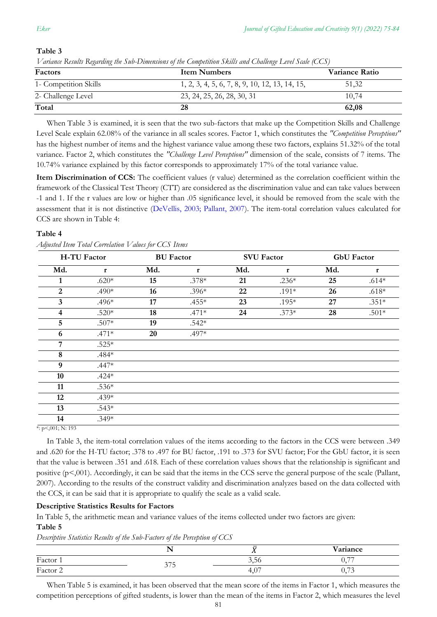### **Table 3**

| v ununit visiniis vieguvang ini suv-Dimensions of ini Competition skius unu Chauenge Level state (CCS)<br>Factors<br><b>Item Numbers</b><br>Variance Ratio |                                                |       |  |  |  |  |
|------------------------------------------------------------------------------------------------------------------------------------------------------------|------------------------------------------------|-------|--|--|--|--|
| 1- Competition Skills                                                                                                                                      | 1, 2, 3, 4, 5, 6, 7, 8, 9, 10, 12, 13, 14, 15, | 51,32 |  |  |  |  |
| 2- Challenge Level                                                                                                                                         | 23, 24, 25, 26, 28, 30, 31                     | 10.74 |  |  |  |  |
| Total                                                                                                                                                      | 28                                             | 62,08 |  |  |  |  |

*Variance Results Regarding the Sub-Dimensions of the Competition Skills and Challenge Level Scale (CCS)*

When Table 3 is examined, it is seen that the two sub-factors that make up the Competition Skills and Challenge Level Scale explain 62.08% of the variance in all scales scores. Factor 1, which constitutes the *"Competition Perceptions"*  has the highest number of items and the highest variance value among these two factors, explains 51.32% of the total variance. Factor 2, which constitutes the *"Challenge Level Perceptions"* dimension of the scale, consists of 7 items. The 10.74% variance explained by this factor corresponds to approximately 17% of the total variance value.

**Item Discrimination of CCS:** The coefficient values (r value) determined as the correlation coefficient within the framework of the Classical Test Theory (CTT) are considered as the discrimination value and can take values between -1 and 1. If the r values are low or higher than .05 significance level, it should be removed from the scale with the assessment that it is not distinctive [\(DeVellis, 2003; Pallant, 2007\)](#page-8-0). The item-total correlation values calculated for CCS are shown in Table 4:

### **Table 4**

|  | Adjusted Item Total Correlation Values for CCS Items |  |  |
|--|------------------------------------------------------|--|--|
|  |                                                      |  |  |

| <b>H-TU Factor</b>      |              |     | <b>BU</b> Factor<br><b>SVU Factor</b> |     |              | <b>GbU</b> Factor |             |  |
|-------------------------|--------------|-----|---------------------------------------|-----|--------------|-------------------|-------------|--|
| Md.                     | $\mathbf{r}$ | Md. | $\mathbf{r}$                          | Md. | $\mathbf{r}$ | Md.               | $\mathbf r$ |  |
|                         | $.620*$      | 15  | $.378*$                               | 21  | $.236*$      | 25                | $.614*$     |  |
| 2                       | $.490*$      | 16  | $.396*$                               | 22  | $.191*$      | 26                | $.618*$     |  |
| 3                       | $.496*$      | 17  | $.455*$                               | 23  | $.195*$      | 27                | $.351*$     |  |
| $\overline{\mathbf{4}}$ | $.520*$      | 18  | $.471*$                               | 24  | $.373*$      | 28                | $.501*$     |  |
| 5                       | $.507*$      | 19  | $.542*$                               |     |              |                   |             |  |
| 6                       | $.471*$      | 20  | $.497*$                               |     |              |                   |             |  |
| $\overline{7}$          | $.525*$      |     |                                       |     |              |                   |             |  |
| 8                       | $.484*$      |     |                                       |     |              |                   |             |  |
| 9                       | $.447*$      |     |                                       |     |              |                   |             |  |
| 10                      | $.424*$      |     |                                       |     |              |                   |             |  |
| 11                      | $.536*$      |     |                                       |     |              |                   |             |  |
| 12                      | $.439*$      |     |                                       |     |              |                   |             |  |
| 13                      | $.543*$      |     |                                       |     |              |                   |             |  |
| 14                      | $.349*$      |     |                                       |     |              |                   |             |  |

 $*: p<,001; N: 193$ 

In Table 3, the item-total correlation values of the items according to the factors in the CCS were between .349 and .620 for the H-TU factor; .378 to .497 for BU factor, .191 to .373 for SVU factor; For the GbU factor, it is seen that the value is between .351 and .618. Each of these correlation values shows that the relationship is significant and positive (p<,001). Accordingly, it can be said that the items in the CCS serve the general purpose of the scale (Pallant, 2007). According to the results of the construct validity and discrimination analyzes based on the data collected with the CCS, it can be said that it is appropriate to qualify the scale as a valid scale.

### **Descriptive Statistics Results for Factors**

In Table 5, the arithmetic mean and variance values of the items collected under two factors are given: **Table 5**

*Descriptive Statistics Results of the Sub-Factors of the Perception of CCS*

|          | ___<br>___ |                                 |                                          |
|----------|------------|---------------------------------|------------------------------------------|
|          | . .        | $\overline{\phantom{a}}$<br>. . | Variance                                 |
| Factor 1 | 277        | 3,56                            | $\overline{\phantom{a}}$<br><u>v., r</u> |
| Factor 2 | <u>JIJ</u> | $40-$<br>T.V                    | $\overline{z}$<br>$\cup, \cup$           |

When Table 5 is examined, it has been observed that the mean score of the items in Factor 1, which measures the competition perceptions of gifted students, is lower than the mean of the items in Factor 2, which measures the level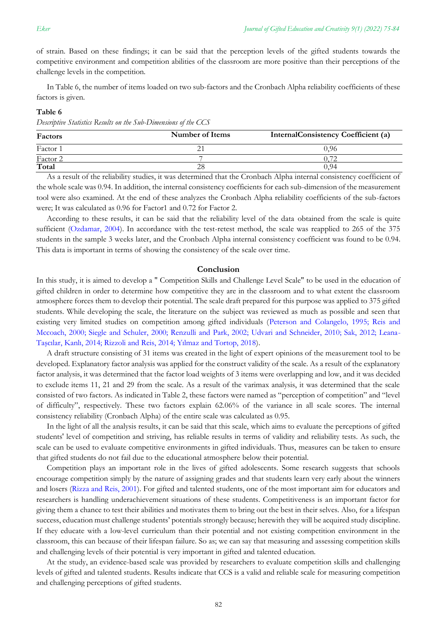of strain. Based on these findings; it can be said that the perception levels of the gifted students towards the competitive environment and competition abilities of the classroom are more positive than their perceptions of the challenge levels in the competition.

In Table 6, the number of items loaded on two sub-factors and the Cronbach Alpha reliability coefficients of these factors is given.

#### **Table 6**

*Descriptive Statistics Results on the Sub-Dimensions of the CCS*

| Factors  | Number of Items | <b>InternalConsistency Coefficient (a)</b> |
|----------|-----------------|--------------------------------------------|
| Factor 1 |                 | 0.96                                       |
| Factor 2 |                 |                                            |
| Total    |                 | 0.94                                       |

As a result of the reliability studies, it was determined that the Cronbach Alpha internal consistency coefficient of the whole scale was 0.94. In addition, the internal consistency coefficients for each sub-dimension of the measurement tool were also examined. At the end of these analyzes the Cronbach Alpha reliability coefficients of the sub-factors were; It was calculated as 0.96 for Factor1 and 0.72 for Factor 2.

According to these results, it can be said that the reliability level of the data obtained from the scale is quite sufficient [\(Ozdamar, 2004\)](#page-8-0). In accordance with the test-retest method, the scale was reapplied to 265 of the 375 students in the sample 3 weeks later, and the Cronbach Alpha internal consistency coefficient was found to be 0.94. This data is important in terms of showing the consistency of the scale over time.

#### **Conclusion**

In this study, it is aimed to develop a " Competition Skills and Challenge Level Scale" to be used in the education of gifted children in order to determine how competitive they are in the classroom and to what extent the classroom atmosphere forces them to develop their potential. The scale draft prepared for this purpose was applied to 375 gifted students. While developing the scale, the literature on the subject was reviewed as much as possible and seen that existing very limited studies on competition among gifted individuals [\(Peterson and Colangelo, 1995; Reis and](#page-8-0)  Mccoach, 2000; Siegle and [Schuler, 2000; Renzulli and Park, 2002; Udvari and Schneider, 2010; Sak, 2012; Leana-](#page-8-0)[Taşcılar, Kanlı, 2014; Rizzoli and Reis, 2014; Yılmaz and Tortop, 2018](#page-8-0)).

A draft structure consisting of 31 items was created in the light of expert opinions of the measurement tool to be developed. Explanatory factor analysis was applied for the construct validity of the scale. As a result of the explanatory factor analysis, it was determined that the factor load weights of 3 items were overlapping and low, and it was decided to exclude items 11, 21 and 29 from the scale. As a result of the varimax analysis, it was determined that the scale consisted of two factors. As indicated in Table 2, these factors were named as "perception of competition" and "level of difficulty", respectively. These two factors explain 62.06% of the variance in all scale scores. The internal consistency reliability (Cronbach Alpha) of the entire scale was calculated as 0.95.

In the light of all the analysis results, it can be said that this scale, which aims to evaluate the perceptions of gifted students' level of competition and striving, has reliable results in terms of validity and reliability tests. As such, the scale can be used to evaluate competitive environments in gifted individuals. Thus, measures can be taken to ensure that gifted students do not fail due to the educational atmosphere below their potential.

Competition plays an important role in the lives of gifted adolescents. Some research suggests that schools encourage competition simply by the nature of assigning grades and that students learn very early about the winners and losers [\(Rizza and Reis, 2001\)](#page-8-0). For gifted and talented students, one of the most important aim for educators and researchers is handling underachievement situations of these students. Competitiveness is an important factor for giving them a chance to test their abilities and motivates them to bring out the best in their selves. Also, for a lifespan success, education must challenge students' potentials strongly because; herewith they will be acquired study discipline. If they educate with a low-level curriculum than their potential and not existing competition environment in the classroom, this can because of their lifespan failure. So as; we can say that measuring and assessing competition skills and challenging levels of their potential is very important in gifted and talented education.

At the study, an evidence-based scale was provided by researchers to evaluate competition skills and challenging levels of gifted and talented students. Results indicate that CCS is a valid and reliable scale for measuring competition and challenging perceptions of gifted students.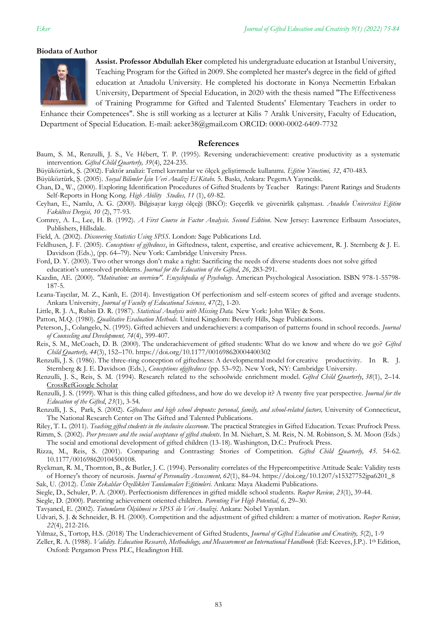#### **Biodata of Author**



**Assist. Professor Abdullah Eker** completed his undergraduate education at Istanbul University, Teaching Program for the Gifted in 2009. She completed her master's degree in the field of gifted education at Anadolu University. He completed his doctorate in Konya Necmettin Erbakan University, Department of Special Education, in 2020 with the thesis named "The Effectiveness of Training Programme for Gifted and Talented Students' Elementary Teachers in order to

Enhance their Competences". She is still working as a lecturer at Kilis 7 Aralık University, Faculty of Education, Department of Special Education. E-mail: aeker38@gmail.com ORCID: 0000-0002-6409-7732

#### <span id="page-8-0"></span>**References**

- Baum, S. M., Renzulli, J. S., Ve Hébert, T. P. (1995). Reversing underachievement: creative productivity as a systematic intervention*. Gifted Child Quarterly, 39*(4), 224-235.
- Büyüköztürk, Ş. (2002). Faktör analizi: Temel kavramlar ve ölçek geliştirmede kullanımı. *Eğitim Yönetimi, 32*, 470-483.

Büyüköztürk, Ş. (2005). *Sosyal Bilimler İçin Veri Analizi El Kitabı.* 5. Baskı, Ankara: PegemA Yayıncılık.

Chan, D., W., (2000). Exploring Identification Procedures of Gifted Students by Teacher Ratings: Parent Ratings and Students Self-Reports in Hong Kong. *High Ability Studies, 11* (1), 69-82.

Ceyhan, E., Namlu, A. G. (2000). Bilgisayar kaygı ölçeği (BKÖ): Geçerlik ve güvenirlik çalışması. *Anadolu Üniversitesi Eğitim Fakültesi Dergisi, 10* (2), 77-93.

Comrey, A. L., Lee, H. B. (1992). *A First Course in Factor Analysis. Second Edition*. New Jersey: Lawrence Erlbaum Associates, Publishers, Hillsdale.

Field, A. (2002). *Discovering Statistics Using SPSS.* London: Sage Publications Ltd.

- Feldhusen, J. F. (2005). *Conceptions of giftedness*, in Giftedness, talent, expertise, and creative achievement, R. J. Sternberg & J. E. Davidson (Eds.), (pp. 64–79). New York: Cambridge University Press.
- Ford, D. Y. (2003). Two other wrongs don't make a right: Sacrificing the needs of diverse students does not solve gifted education's unresolved problems. *Journal for the Education of the Gifted*, *26*, 283-291.

Kazdin, AE. (2000). *"Motivation: an overview". Encyclopedia of Psychology*. American Psychological Association. ISBN 978-1-55798- 187-5.

- Leana-Taşcılar, M. Z., Kanlı, E. (2014). Investigation Of perfectionism and self-esteem scores of gifted and average students. Ankara University, *Journal of Faculty of Educational Sciences, 47*(2), 1-20.
- Little, R. J. A., Rubin D. R. (1987). *Statistical Analysis with Missing Data.* New York: John Wiley & Sons.
- Patton, M.Q. (1980). *Qualitative Evaluation Methods.* United Kingdom: Beverly Hills, Sage Publications.
- Peterson, J., Colangelo, N. (1995). Gifted achievers and underachievers: a comparison of patterns found in school records. *Journal of Counseling and Development, 74*(4), 399-407.
- Reis, S. M., McCoach, D. B. (2000). The underachievement of gifted students: What do we know and where do we go? *Gifted Child Quarterly, 44*(3), 152–170[. https://doi.org/10.1177/001698620004400302](https://doi.org/10.1177/001698620004400302)
- Renzulli, J. S. (1986). The three-ring conception of giftedness: A developmental model for creative productivity. In R. J. Sternberg & J. E. Davidson (Eds.), *Conceptions ofgiftedness* (pp. 53–92). New York, NY: Cambridge University.
- Renzulli, J. S., Reis, S. M. (1994). Research related to the schoolwide enrichment model. *Gifted Child Quarterly*, *38*(1), 2–14. [CrossRef](https://doi.org/10.1177/001698629403800102)[Google Scholar](http://scholar.google.com/scholar_lookup?title=Research%20related%20to%20the%20schoolwide%20enrichment%20model&author=JS.%20Renzulli&author=SM.%20Reis&journal=Gifted%20Child%20Quarterly&volume=38&issue=1&pages=2-14&publication_year=1994)
- Renzulli, J. S. (1999). What is this thing called giftedness, and how do we develop it? A twenty five year perspective. *Journal for the Education of the Gifted*, *23*(1), 3-54.
- Renzulli, J. S., Park, S. (2002). *Giftedness and high school dropouts: personal, family, and school-related factors,* University of Connecticut, The National Research Center on The Gifted and Talented Publications.

Riley, T. L. (2011). *Teaching gifted students in the inclusive classroom*. The practical Strategies in Gifted Education. Texas: Prufrock Press.

- Rimm, S. (2002). *Peer pressure and the social acceptance of gifted students*. In M. Niehart, S. M. Reis, N. M. Robinson, S. M. Moon (Eds.) The social and emotional development of gifted children (13-18). Washington, D.C.: Prufrock Press.
- Rizza, M., Reis, S. (2001). Comparing and Contrasting: Stories of Competition. *Gifted Child Quarterly, 45.* 54-62. 10.1177/001698620104500108.
- Ryckman, R. M., Thornton, B., & Butler, J. C. (1994). Personality correlates of the Hypercompetitive Attitude Scale: Validity tests of Horney's theory of neurosis. *Journal of Personality Assessment, 62*(1), 84–94. https://doi.org/10.1207/s15327752jpa6201\_8

Sak, U. (2012). *Üstün Zekalılar Özellikleri Tanılamaları Eğitimleri*. Ankara: Maya Akademi Publications.

Siegle, D., Schuler, P. A. (2000). Perfectionism differences in gifted middle school students. *Roeper Review, 23*(1), 39-44.

Siegle, D. (2000). Parenting achievement oriented children. *Parenting For High Potential, 6,* 29–30.

Tavşancıl, E. (2002). *Tutumların Ölçülmesi ve SPSS ile Veri Analizi*. Ankara: Nobel Yayınları.

- Udvari, S. J. & Schneider, B. H. (2000). Competition and the adjustment of gifted children: a matter of motivation. *Roeper Review, 22*(4), 212-216.
- Yılmaz, S., Tortop, H.S. (2018) The Underachievement of Gifted Students, *Journal of Gifted Education and Creativity, 5*(2), 1-9
- Zeller, R. A. (1988). *Validity. Education Research, Methodology, and Measurement an International Handbook* (Ed: Keeves, J.P.). 1th Edition, Oxford: Pergamon Press PLC, Headington Hill.